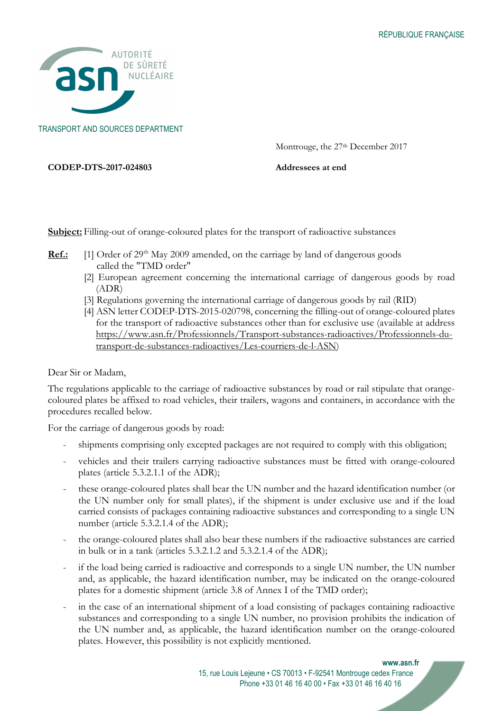

TRANSPORT AND SOURCES DEPARTMENT

Montrouge, the 27<sup>th</sup> December 2017

CODEP-DTS-2017-024803 Addressees at end

Subject: Filling-out of orange-coloured plates for the transport of radioactive substances

- **Ref.:** [1] Order of  $29<sup>th</sup>$  May 2009 amended, on the carriage by land of dangerous goods called the "TMD order"
	- [2] European agreement concerning the international carriage of dangerous goods by road (ADR)
	- [3] Regulations governing the international carriage of dangerous goods by rail (RID)
	- [4] ASN letter CODEP-DTS-2015-020798, concerning the filling-out of orange-coloured plates for the transport of radioactive substances other than for exclusive use (available at address https://www.asn.fr/Professionnels/Transport-substances-radioactives/Professionnels-dutransport-de-substances-radioactives/Les-courriers-de-l-ASN)

Dear Sir or Madam,

The regulations applicable to the carriage of radioactive substances by road or rail stipulate that orangecoloured plates be affixed to road vehicles, their trailers, wagons and containers, in accordance with the procedures recalled below.

For the carriage of dangerous goods by road:

- shipments comprising only excepted packages are not required to comply with this obligation;
- vehicles and their trailers carrying radioactive substances must be fitted with orange-coloured plates (article 5.3.2.1.1 of the ADR);
- these orange-coloured plates shall bear the UN number and the hazard identification number (or the UN number only for small plates), if the shipment is under exclusive use and if the load carried consists of packages containing radioactive substances and corresponding to a single UN number (article 5.3.2.1.4 of the ADR);
- the orange-coloured plates shall also bear these numbers if the radioactive substances are carried in bulk or in a tank (articles 5.3.2.1.2 and 5.3.2.1.4 of the ADR);
- if the load being carried is radioactive and corresponds to a single UN number, the UN number and, as applicable, the hazard identification number, may be indicated on the orange-coloured plates for a domestic shipment (article 3.8 of Annex I of the TMD order);
- in the case of an international shipment of a load consisting of packages containing radioactive substances and corresponding to a single UN number, no provision prohibits the indication of the UN number and, as applicable, the hazard identification number on the orange-coloured plates. However, this possibility is not explicitly mentioned.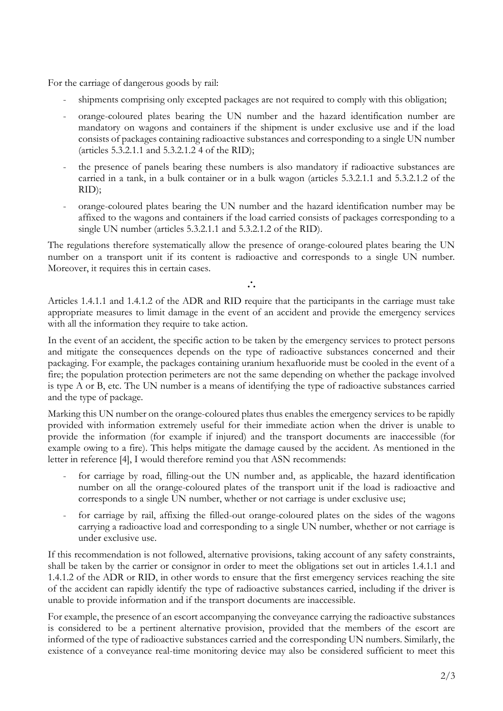For the carriage of dangerous goods by rail:

- shipments comprising only excepted packages are not required to comply with this obligation;
- orange-coloured plates bearing the UN number and the hazard identification number are mandatory on wagons and containers if the shipment is under exclusive use and if the load consists of packages containing radioactive substances and corresponding to a single UN number (articles 5.3.2.1.1 and 5.3.2.1.2 4 of the RID);
- the presence of panels bearing these numbers is also mandatory if radioactive substances are carried in a tank, in a bulk container or in a bulk wagon (articles 5.3.2.1.1 and 5.3.2.1.2 of the RID);
- orange-coloured plates bearing the UN number and the hazard identification number may be affixed to the wagons and containers if the load carried consists of packages corresponding to a single UN number (articles 5.3.2.1.1 and 5.3.2.1.2 of the RID).

The regulations therefore systematically allow the presence of orange-coloured plates bearing the UN number on a transport unit if its content is radioactive and corresponds to a single UN number. Moreover, it requires this in certain cases.

∴

Articles 1.4.1.1 and 1.4.1.2 of the ADR and RID require that the participants in the carriage must take appropriate measures to limit damage in the event of an accident and provide the emergency services with all the information they require to take action.

In the event of an accident, the specific action to be taken by the emergency services to protect persons and mitigate the consequences depends on the type of radioactive substances concerned and their packaging. For example, the packages containing uranium hexafluoride must be cooled in the event of a fire; the population protection perimeters are not the same depending on whether the package involved is type A or B, etc. The UN number is a means of identifying the type of radioactive substances carried and the type of package.

Marking this UN number on the orange-coloured plates thus enables the emergency services to be rapidly provided with information extremely useful for their immediate action when the driver is unable to provide the information (for example if injured) and the transport documents are inaccessible (for example owing to a fire). This helps mitigate the damage caused by the accident. As mentioned in the letter in reference [4], I would therefore remind you that ASN recommends:

- for carriage by road, filling-out the UN number and, as applicable, the hazard identification number on all the orange-coloured plates of the transport unit if the load is radioactive and corresponds to a single UN number, whether or not carriage is under exclusive use;
- for carriage by rail, affixing the filled-out orange-coloured plates on the sides of the wagons carrying a radioactive load and corresponding to a single UN number, whether or not carriage is under exclusive use.

If this recommendation is not followed, alternative provisions, taking account of any safety constraints, shall be taken by the carrier or consignor in order to meet the obligations set out in articles 1.4.1.1 and 1.4.1.2 of the ADR or RID, in other words to ensure that the first emergency services reaching the site of the accident can rapidly identify the type of radioactive substances carried, including if the driver is unable to provide information and if the transport documents are inaccessible.

For example, the presence of an escort accompanying the conveyance carrying the radioactive substances is considered to be a pertinent alternative provision, provided that the members of the escort are informed of the type of radioactive substances carried and the corresponding UN numbers. Similarly, the existence of a conveyance real-time monitoring device may also be considered sufficient to meet this